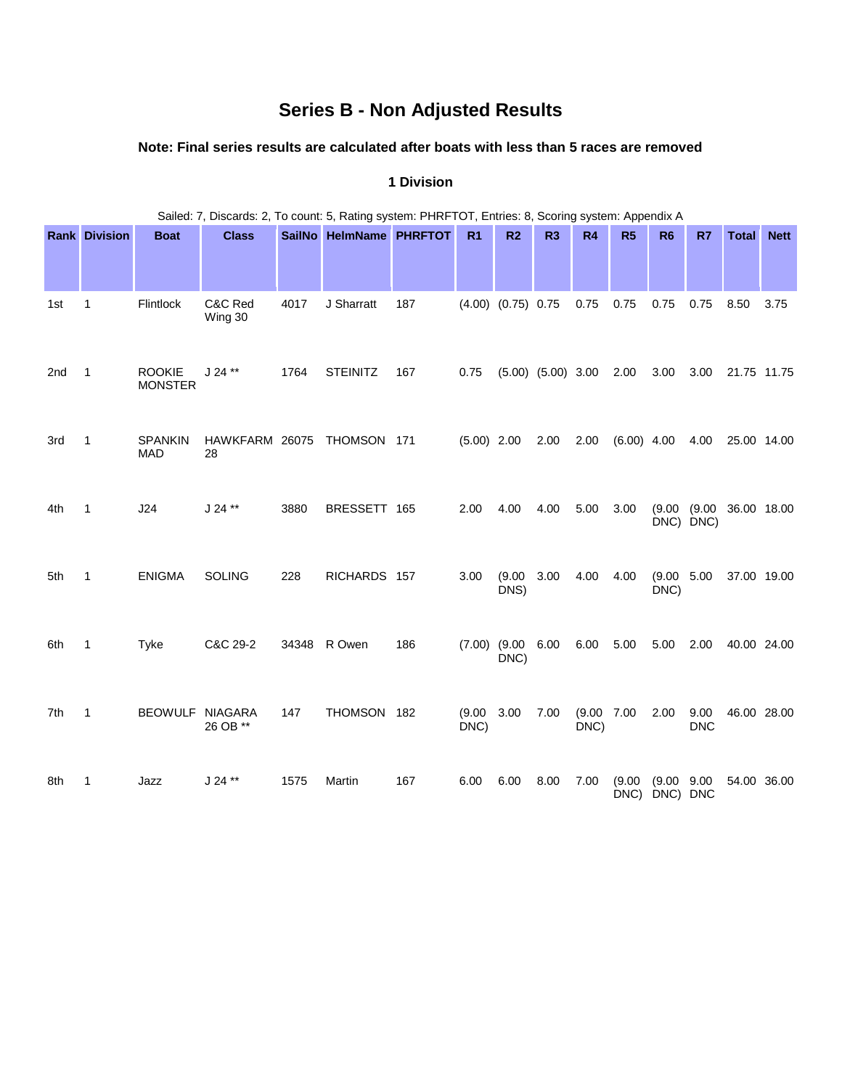# **Series B - Non Adjusted Results**

# **Note: Final series results are calculated after boats with less than 5 races are removed**

|     | Sailed: 7, Discards: 2, To count: 5, Rating system: PHRFTOT, Entries: 8, Scoring system: Appendix A |                                 |                      |       |                         |     |                |                           |                        |                     |                         |                     |                    |                         |             |
|-----|-----------------------------------------------------------------------------------------------------|---------------------------------|----------------------|-------|-------------------------|-----|----------------|---------------------------|------------------------|---------------------|-------------------------|---------------------|--------------------|-------------------------|-------------|
|     | <b>Rank Division</b>                                                                                | <b>Boat</b>                     | <b>Class</b>         |       | SailNo HelmName PHRFTOT |     | R <sub>1</sub> | R <sub>2</sub>            | R <sub>3</sub>         | R <sub>4</sub>      | R5                      | <b>R6</b>           | R7                 | <b>Total</b>            | <b>Nett</b> |
| 1st | $\mathbf{1}$                                                                                        | Flintlock                       | C&C Red<br>Wing 30   | 4017  | J Sharratt              | 187 |                | $(4.00)$ $(0.75)$ 0.75    |                        | 0.75                | 0.75                    | 0.75                | 0.75               | 8.50                    | 3.75        |
| 2nd | 1                                                                                                   | <b>ROOKIE</b><br><b>MONSTER</b> | $J 24$ **            | 1764  | <b>STEINITZ</b>         | 167 | 0.75           |                           | $(5.00)$ $(5.00)$ 3.00 |                     | 2.00                    | 3.00                | 3.00               | 21.75 11.75             |             |
| 3rd | $\mathbf{1}$                                                                                        | <b>SPANKIN</b><br><b>MAD</b>    | HAWKFARM 26075<br>28 |       | THOMSON 171             |     | $(5.00)$ 2.00  |                           | 2.00                   | 2.00                | $(6.00)$ 4.00           |                     | 4.00               | 25.00 14.00             |             |
| 4th | 1                                                                                                   | J24                             | $J 24$ **            | 3880  | BRESSETT 165            |     | 2.00           | 4.00                      | 4.00                   | 5.00                | 3.00                    | DNC) DNC)           |                    | (9.00 (9.00 36.00 18.00 |             |
| 5th | 1                                                                                                   | <b>ENIGMA</b>                   | <b>SOLING</b>        | 228   | RICHARDS 157            |     | 3.00           | (9.00)<br>DNS)            | 3.00                   | 4.00                | 4.00                    | (9.00 5.00)<br>DNC) |                    | 37.00 19.00             |             |
| 6th | 1                                                                                                   | Tyke                            | C&C 29-2             | 34348 | R Owen                  | 186 |                | $(7.00)$ $(9.00)$<br>DNC) | 6.00                   | 6.00                | 5.00                    | 5.00                | 2.00               | 40.00 24.00             |             |
| 7th | 1                                                                                                   | BEOWULF NIAGARA                 | 26 OB **             | 147   | THOMSON 182             |     | (9.00)<br>DNC) | 3.00                      | 7.00                   | (9.00 7.00)<br>DNC) |                         | 2.00                | 9.00<br><b>DNC</b> | 46.00 28.00             |             |
| 8th | 1                                                                                                   | Jazz                            | $J 24$ **            | 1575  | Martin                  | 167 | 6.00           | 6.00                      | 8.00                   | 7.00                | (9.00)<br>DNC) DNC) DNC | (9.00 9.00)         |                    | 54.00 36.00             |             |

#### **1 Division**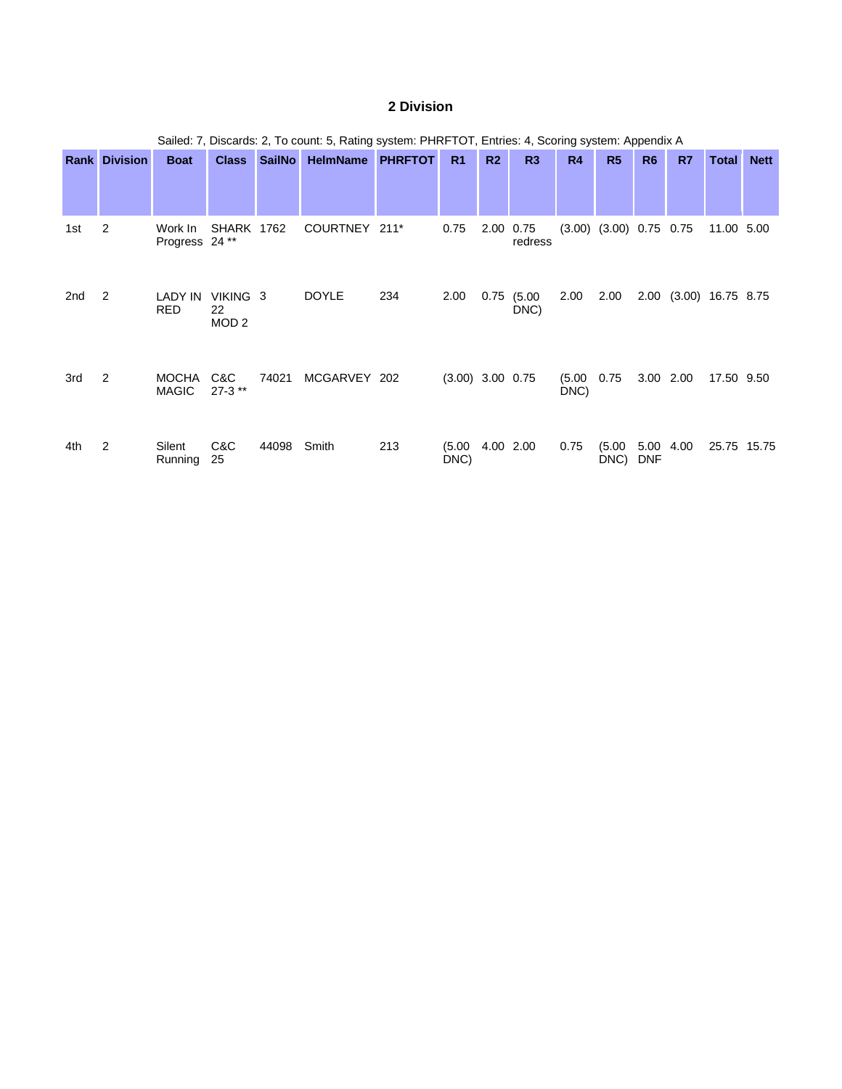# **2 Division**

|     | Sailed: 7, Discards: 2, To count: 5, Rating system: PHRFTOT, Entries: 4, Scoring system: Appendix A |                              |                                    |               |                 |                |                    |                |                |                |                                 |                    |           |                     |             |
|-----|-----------------------------------------------------------------------------------------------------|------------------------------|------------------------------------|---------------|-----------------|----------------|--------------------|----------------|----------------|----------------|---------------------------------|--------------------|-----------|---------------------|-------------|
|     | <b>Rank Division</b>                                                                                | <b>Boat</b>                  | <b>Class</b>                       | <b>SailNo</b> | <b>HelmName</b> | <b>PHRFTOT</b> | R <sub>1</sub>     | R <sub>2</sub> | R3             | R4             | R <sub>5</sub>                  | R <sub>6</sub>     | R7        | Total               | <b>Nett</b> |
| 1st | 2                                                                                                   | Work In<br>Progress 24**     | <b>SHARK 1762</b>                  |               | COURTNEY 211*   |                | 0.75               | 2.00 0.75      | redress        |                | $(3.00)$ $(3.00)$ $0.75$ $0.75$ |                    |           | 11.00 5.00          |             |
| 2nd | 2                                                                                                   | LADY IN<br><b>RED</b>        | VIKING 3<br>22<br>MOD <sub>2</sub> |               | <b>DOYLE</b>    | 234            | 2.00               | 0.75           | (5.00)<br>DNC) | 2.00           | 2.00                            | 2.00               |           | $(3.00)$ 16.75 8.75 |             |
| 3rd | 2                                                                                                   | <b>MOCHA</b><br><b>MAGIC</b> | C&C<br>$27-3$ **                   | 74021         | MCGARVEY 202    |                | $(3.00)$ 3.00 0.75 |                |                | (5.00)<br>DNC) | 0.75                            |                    | 3.00 2.00 | 17.50 9.50          |             |
| 4th | 2                                                                                                   | Silent<br>Running            | C&C<br>25                          | 44098         | Smith           | 213            | (5.00)<br>DNC)     |                | 4.00 2.00      | 0.75           | (5.00)<br>DNC)                  | 5.00<br><b>DNF</b> | 4.00      | 25.75 15.75         |             |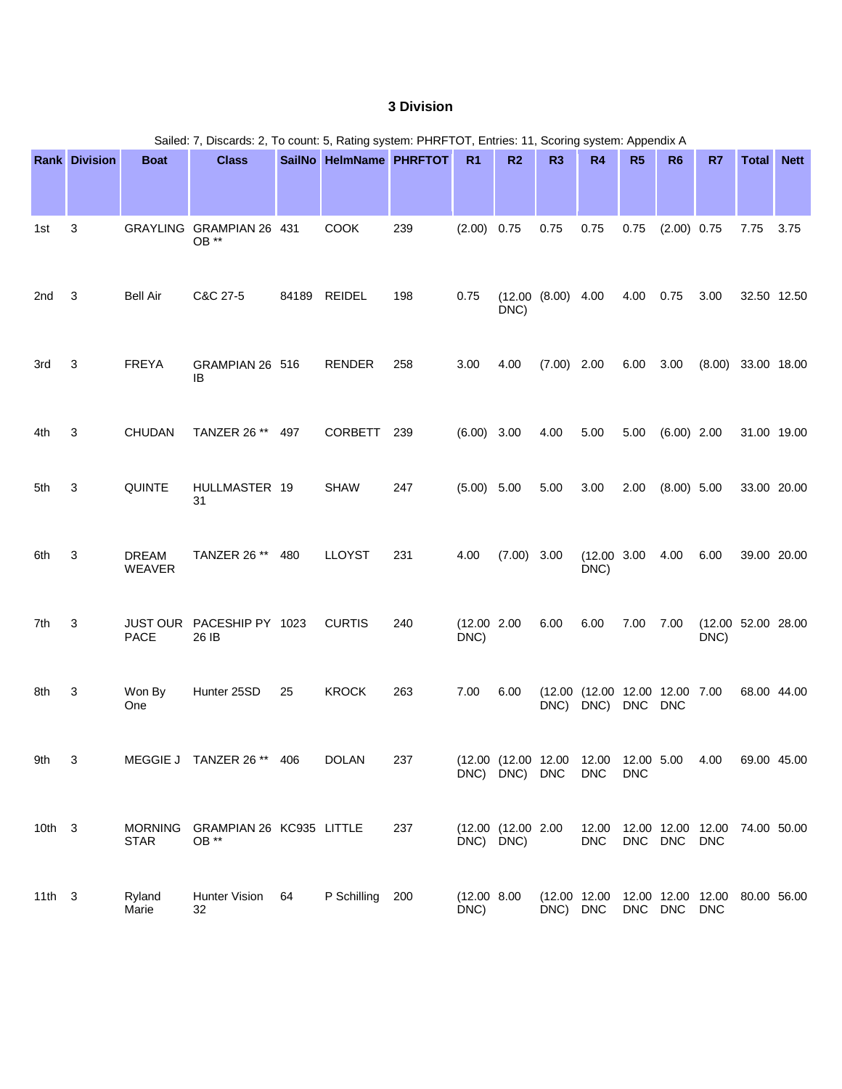# **3 Division**

|                 | Sailed: 7, Discards: 2, To count: 5, Rating system: PHRFTOT, Entries: 11, Scoring system: Appendix A |                               |                                    |       |                         |     |                      |                    |                           |                                        |                          |                |                                             |              |             |
|-----------------|------------------------------------------------------------------------------------------------------|-------------------------------|------------------------------------|-------|-------------------------|-----|----------------------|--------------------|---------------------------|----------------------------------------|--------------------------|----------------|---------------------------------------------|--------------|-------------|
|                 | <b>Rank Division</b>                                                                                 | <b>Boat</b>                   | <b>Class</b>                       |       | SailNo HelmName PHRFTOT |     | R <sub>1</sub>       | R <sub>2</sub>     | R <sub>3</sub>            | R <sub>4</sub>                         | R5                       | R <sub>6</sub> | R7                                          | <b>Total</b> | <b>Nett</b> |
| 1st             | 3                                                                                                    |                               | GRAYLING GRAMPIAN 26 431<br>OB **  |       | <b>COOK</b>             | 239 | $(2.00)$ 0.75        |                    | 0.75                      | 0.75                                   | 0.75                     | $(2.00)$ 0.75  |                                             | 7.75         | 3.75        |
| 2 <sub>nd</sub> | 3                                                                                                    | <b>Bell Air</b>               | C&C 27-5                           | 84189 | <b>REIDEL</b>           | 198 | 0.75                 | DNC)               | (12.00 (8.00) 4.00)       |                                        | 4.00                     | 0.75           | 3.00                                        |              | 32.50 12.50 |
| 3rd             | 3                                                                                                    | <b>FREYA</b>                  | GRAMPIAN 26 516<br>IB              |       | <b>RENDER</b>           | 258 | 3.00                 | 4.00               | $(7.00)$ 2.00             |                                        | 6.00 3.00                |                | $(8.00)$ 33.00 18.00                        |              |             |
| 4th             | 3                                                                                                    | <b>CHUDAN</b>                 | TANZER 26 **                       | 497   | <b>CORBETT</b>          | 239 | $(6.00)$ 3.00        |                    | 4.00                      | 5.00                                   | 5.00                     | $(6.00)$ 2.00  |                                             |              | 31.00 19.00 |
| 5th             | 3                                                                                                    | <b>QUINTE</b>                 | HULLMASTER 19<br>31                |       | <b>SHAW</b>             | 247 | $(5.00)$ 5.00        |                    | 5.00                      | 3.00                                   | 2.00                     | $(8.00)$ 5.00  |                                             |              | 33.00 20.00 |
| 6th             | 3                                                                                                    | <b>DREAM</b><br><b>WEAVER</b> | TANZER 26 **                       | 480   | <b>LLOYST</b>           | 231 | 4.00                 | $(7.00)$ 3.00      |                           | $(12.00 \t3.00$<br>DNC)                |                          | 4.00           | 6.00                                        |              | 39.00 20.00 |
| 7th             | 3                                                                                                    | <b>PACE</b>                   | JUST OUR PACESHIP PY 1023<br>26 IB |       | <b>CURTIS</b>           | 240 | (12.00 2.00<br>DNC)  |                    | 6.00                      | 6.00                                   | 7.00                     | 7.00           | (12.00 52.00 28.00)<br>DNC)                 |              |             |
| 8th             | 3                                                                                                    | Won By<br>One                 | Hunter 25SD                        | 25    | <b>KROCK</b>            | 263 | 7.00                 | 6.00               | DNC)                      | (12.00 (12.00 12.00 12.00 7.00<br>DNC) | DNC DNC                  |                |                                             |              | 68.00 44.00 |
| 9th             | 3                                                                                                    |                               | MEGGIE J TANZER 26 ** 406          |       | <b>DOLAN</b>            | 237 |                      | DNC) DNC) DNC      | (12.00 (12.00 12.00 12.00 | <b>DNC</b>                             | 12.00 5.00<br><b>DNC</b> |                | 4.00                                        |              | 69.00 45.00 |
| $10th$ 3        |                                                                                                      | <b>MORNING</b><br><b>STAR</b> | GRAMPIAN 26 KC935 LITTLE<br>OB **  |       |                         | 237 | DNC) DNC)            | (12.00 (12.00 2.00 |                           | 12.00<br><b>DNC</b>                    |                          | DNC DNC        | 12.00 12.00 12.00 74.00 50.00<br><b>DNC</b> |              |             |
| $11th$ 3        |                                                                                                      | Ryland<br>Marie               | Hunter Vision<br>32                | 64    | P Schilling             | 200 | (12.00 8.00)<br>DNC) |                    | DNC) DNC                  | (12.00 12.00                           |                          | DNC DNC        | 12.00 12.00 12.00 80.00 56.00<br><b>DNC</b> |              |             |